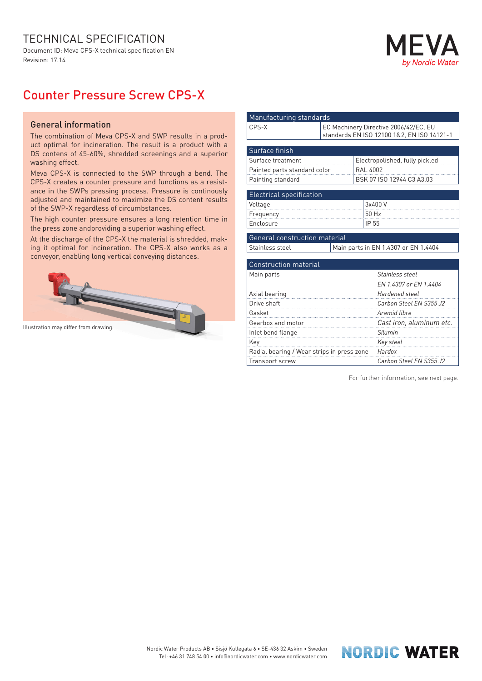## TECHNICAL SPECIFICATION

Document ID: Meva CPS-X technical specification EN Revision: 17.14



## Counter Pressure Screw CPS-X

## General information

The combination of Meva CPS-X and SWP results in a product optimal for incineration. The result is a product with a DS contens of 45-60%, shredded screenings and a superior washing effect.

Meva CPS-X is connected to the SWP through a bend. The CPS-X creates a counter pressure and functions as a resistance in the SWPs pressing process. Pressure is continously adjusted and maintained to maximize the DS content results of the SWP-X regardless of circumbstances.

The high counter pressure ensures a long retention time in the press zone andproviding a superior washing effect.

At the discharge of the CPS-X the material is shredded, making it optimal for incineration. The CPS-X also works as a conveyor, enabling long vertical conveying distances.



| Manufacturing standards         |                                                                                     |                                |                                      |  |  |  |  |  |
|---------------------------------|-------------------------------------------------------------------------------------|--------------------------------|--------------------------------------|--|--|--|--|--|
| $CPS-X$                         | EC Machinery Directive 2006/42/EC, EU<br>standards EN ISO 12100 1&2, EN ISO 14121-1 |                                |                                      |  |  |  |  |  |
|                                 |                                                                                     |                                |                                      |  |  |  |  |  |
| Surface finish                  |                                                                                     |                                |                                      |  |  |  |  |  |
| Surface treatment               |                                                                                     | Electropolished, fully pickled |                                      |  |  |  |  |  |
| Painted parts standard color    |                                                                                     | <b>RAL 4002</b>                |                                      |  |  |  |  |  |
| Painting standard               |                                                                                     | BSK 07 ISO 12944 C3 A3.03      |                                      |  |  |  |  |  |
|                                 |                                                                                     |                                |                                      |  |  |  |  |  |
| <b>Electrical specification</b> |                                                                                     |                                |                                      |  |  |  |  |  |
| Voltage                         |                                                                                     | 3x400V                         |                                      |  |  |  |  |  |
| Frequency                       |                                                                                     | 50 Hz                          |                                      |  |  |  |  |  |
| Enclosure                       |                                                                                     |                                | IP 55                                |  |  |  |  |  |
|                                 |                                                                                     |                                |                                      |  |  |  |  |  |
| General construction material   |                                                                                     |                                |                                      |  |  |  |  |  |
| Stainless steel                 |                                                                                     |                                | Main parts in EN 1.4307 or EN 1.4404 |  |  |  |  |  |
|                                 |                                                                                     |                                |                                      |  |  |  |  |  |
| <b>Construction material</b>    |                                                                                     |                                |                                      |  |  |  |  |  |
| Main parts                      |                                                                                     |                                | Stainless steel                      |  |  |  |  |  |
|                                 |                                                                                     |                                | EN 1.4307 or EN 1.4404               |  |  |  |  |  |
| Axial bearing                   |                                                                                     |                                | Hardened steel                       |  |  |  |  |  |
| Drive shaft                     |                                                                                     |                                | Carbon Steel EN S355 J2              |  |  |  |  |  |
| Gasket                          |                                                                                     |                                | Aramid fibre                         |  |  |  |  |  |
| Gearbox and motor               |                                                                                     |                                | Cast iron, aluminum etc.             |  |  |  |  |  |
| Inlet bend flange               |                                                                                     |                                | Silumin                              |  |  |  |  |  |
| Key                             |                                                                                     |                                | Key steel                            |  |  |  |  |  |

Radial bearing / Wear strips in press zone *Hardox*

Transport screw *Carbon Steel EN S355 J2*

For further information, see next page.